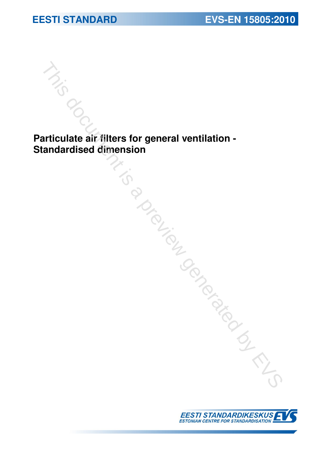**Particulate air filters for general ventilation -**<br>Particulate air filters for general ventilation -<br>Standardised dimension

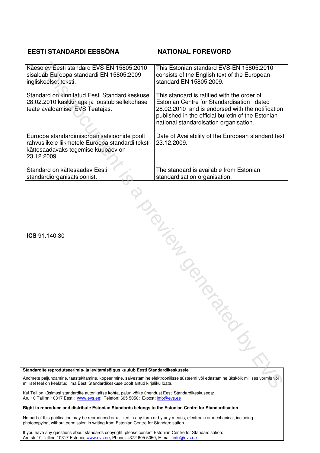### **EESTI STANDARDI EESSÕNA NATIONAL FOREWORD**

| Käesolev Eesti standard EVS-EN 15805:2010<br>sisaldab Euroopa standardi EN 15805:2009<br>ingliskeelset teksti.                                                                                                            | This Estonian standard EVS-EN 15805:2010<br>consists of the English text of the European<br>standard EN 15805:2009.                                                                                                                          |
|---------------------------------------------------------------------------------------------------------------------------------------------------------------------------------------------------------------------------|----------------------------------------------------------------------------------------------------------------------------------------------------------------------------------------------------------------------------------------------|
| Standard on kinnitatud Eesti Standardikeskuse<br>28.02.2010 käskkirjaga ja jõustub sellekohase<br>teate avaldamisel EVS Teatajas.                                                                                         | This standard is ratified with the order of<br>Estonian Centre for Standardisation dated<br>28.02.2010 and is endorsed with the notification<br>published in the official bulletin of the Estonian<br>national standardisation organisation. |
| Euroopa standardimisorganisatsioonide poolt<br>rahvuslikele liikmetele Euroopa standardi teksti<br>kättesaadavaks tegemise kuupäev on<br>23.12.2009.                                                                      | Date of Availability of the European standard text<br>23.12.2009.                                                                                                                                                                            |
| Standard on kättesaadav Eesti<br>standardiorganisatsioonist.                                                                                                                                                              | The standard is available from Estonian<br>standardisation organisation.                                                                                                                                                                     |
| Iraino<br>ICS 91.140.30                                                                                                                                                                                                   |                                                                                                                                                                                                                                              |
|                                                                                                                                                                                                                           |                                                                                                                                                                                                                                              |
|                                                                                                                                                                                                                           | <b>PRODUCED</b>                                                                                                                                                                                                                              |
| Standardite reprodutseerimis- ja levitamisõigus kuulub Eesti Standardikeskusele                                                                                                                                           |                                                                                                                                                                                                                                              |
| Andmete paljundamine, taastekitamine, kopeerimine, salvestamine elektroonilisse süsteemi või edastamine ükskõik millises vormis või<br>nillisel teel on keelatud ilma Eesti Standardikeskuse poolt antud kirjaliku loata. |                                                                                                                                                                                                                                              |

#### **Standardite reprodutseerimis- ja levitamisõigus kuulub Eesti Standardikeskusele**

Kui Teil on küsimusi standardite autorikaitse kohta, palun võtke ühendust Eesti Standardikeskusega: Aru 10 Tallinn 10317 Eesti; www.evs.ee; Telefon: 605 5050; E-post: info@evs.ee

#### **Right to reproduce and distribute Estonian Standards belongs to the Estonian Centre for Standardisation**

No part of this publication may be reproduced or utilized in any form or by any means, electronic or mechanical, including photocopying, without permission in writing from Estonian Centre for Standardisation.

If you have any questions about standards copyright, please contact Estonian Centre for Standardisation: Aru str 10 Tallinn 10317 Estonia; www.evs.ee; Phone: +372 605 5050; E-mail: info@evs.ee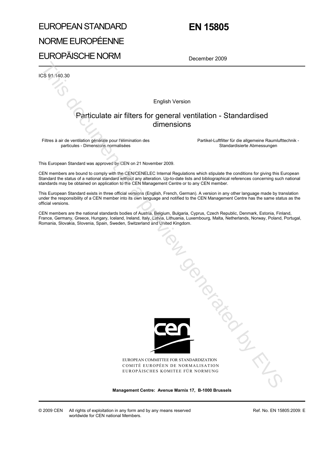# EUROPEAN STANDARD NORME EUROPÉENNE EUROPÄISCHE NORM

# **EN 15805**

December 2009

ICS 91.140.30

English Version

### Particulate air filters for general ventilation - Standardised dimensions

Filtres à air de ventilation générale pour l'élimination des particules - Dimensions normalisées

 Partikel-Luftfilter für die allgemeine Raumlufttechnik - Standardisierte Abmessungen

This European Standard was approved by CEN on 21 November 2009.

CEN members are bound to comply with the CEN/CENELEC Internal Regulations which stipulate the conditions for giving this European Standard the status of a national standard without any alteration. Up-to-date lists and bibliographical references concerning such national standards may be obtained on application to the CEN Management Centre or to any CEN member.

This European Standard exists in three official versions (English, French, German). A version in any other language made by translation under the responsibility of a CEN member into its own language and notified to the CEN Management Centre has the same status as the official versions.

CEN members are the national standards bodies of Austria, Belgium, Bulgaria, Cyprus, Czech Republic, Denmark, Estonia, Finland, France, Germany, Greece, Hungary, Iceland, Ireland, Italy, Latvia, Lithuania, Luxembourg, Malta, Netherlands, Norway, Poland, Portugal, Romania, Slovakia, Slovenia, Spain, Sweden, Switzerland and United Kingdom.



EUROPEAN COMMITTEE FOR STANDARDIZATION COMITÉ EUROPÉEN DE NORMALISATION EUROPÄISCHES KOMITEE FÜR NORMUNG Tanguay River

**Management Centre: Avenue Marnix 17, B-1000 Brussels**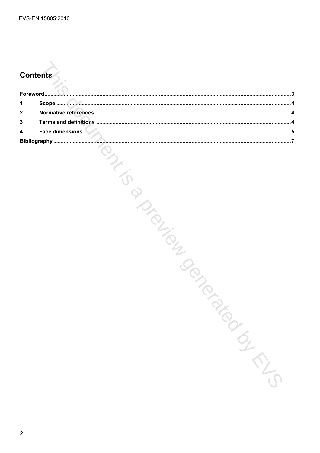# **Contents**

| 1                       |                                 |
|-------------------------|---------------------------------|
| $\boldsymbol{2}$        |                                 |
| 3                       |                                 |
| $\overline{\mathbf{4}}$ |                                 |
|                         |                                 |
|                         | BIL<br>Januar<br><b>SIRICAL</b> |
| $\mathbf{2}$            |                                 |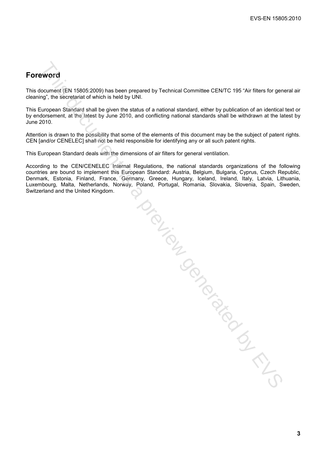## **Foreword**

This document (EN 15805:2009) has been prepared by Technical Committee CEN/TC 195 "Air filters for general air cleaning", the secretariat of which is held by UNI.

This European Standard shall be given the status of a national standard, either by publication of an identical text or by endorsement, at the latest by June 2010, and conflicting national standards shall be withdrawn at the latest by June 2010.

Attention is drawn to the possibility that some of the elements of this document may be the subject of patent rights. CEN [and/or CENELEC] shall not be held responsible for identifying any or all such patent rights.

This European Standard deals with the dimensions of air filters for general ventilation.

According to the CEN/CENELEC Internal Regulations, the national standards organizations of the following countries are bound to implement this European Standard: Austria, Belgium, Bulgaria, Cyprus, Czech Republic, Denmark, Estonia, Finland, France, Germany, Greece, Hungary, Iceland, Ireland, Italy, Latvia, Lithuania, Luxembourg, Malta, Netherlands, Norway, Poland, Portugal, Romania, Slovakia, Slovenia, Spain, Sweden, Switzerland and the United Kingdom.

Siana.